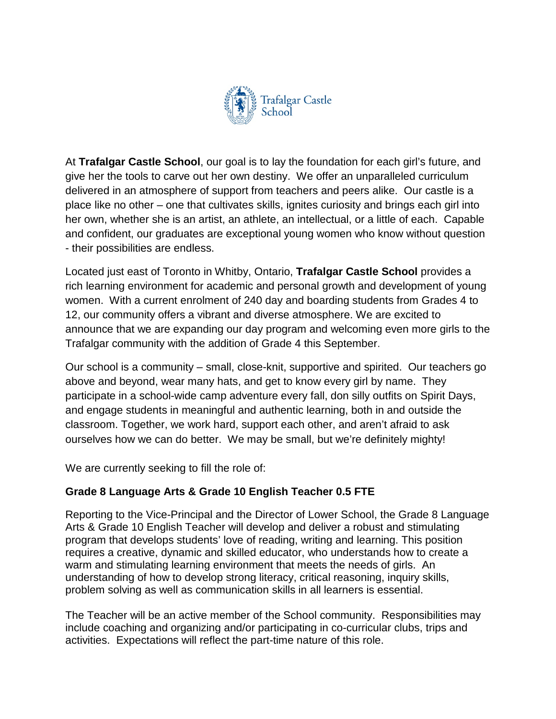

At **Trafalgar Castle School**, our goal is to lay the foundation for each girl's future, and give her the tools to carve out her own destiny. We offer an unparalleled curriculum delivered in an atmosphere of support from teachers and peers alike. Our castle is a place like no other – one that cultivates skills, ignites curiosity and brings each girl into her own, whether she is an artist, an athlete, an intellectual, or a little of each. Capable and confident, our graduates are exceptional young women who know without question - their possibilities are endless.

Located just east of Toronto in Whitby, Ontario, **Trafalgar Castle School** provides a rich learning environment for academic and personal growth and development of young women. With a current enrolment of 240 day and boarding students from Grades 4 to 12, our community offers a vibrant and diverse atmosphere. We are excited to announce that we are expanding our day program and welcoming even more girls to the Trafalgar community with the addition of Grade 4 this September.

Our school is a community – small, close-knit, supportive and spirited. Our teachers go above and beyond, wear many hats, and get to know every girl by name. They participate in a school-wide camp adventure every fall, don silly outfits on Spirit Days, and engage students in meaningful and authentic learning, both in and outside the classroom. Together, we work hard, support each other, and aren't afraid to ask ourselves how we can do better. We may be small, but we're definitely mighty!

We are currently seeking to fill the role of:

## **Grade 8 Language Arts & Grade 10 English Teacher 0.5 FTE**

Reporting to the Vice-Principal and the Director of Lower School, the Grade 8 Language Arts & Grade 10 English Teacher will develop and deliver a robust and stimulating program that develops students' love of reading, writing and learning. This position requires a creative, dynamic and skilled educator, who understands how to create a warm and stimulating learning environment that meets the needs of girls. An understanding of how to develop strong literacy, critical reasoning, inquiry skills, problem solving as well as communication skills in all learners is essential.

The Teacher will be an active member of the School community. Responsibilities may include coaching and organizing and/or participating in co-curricular clubs, trips and activities. Expectations will reflect the part-time nature of this role.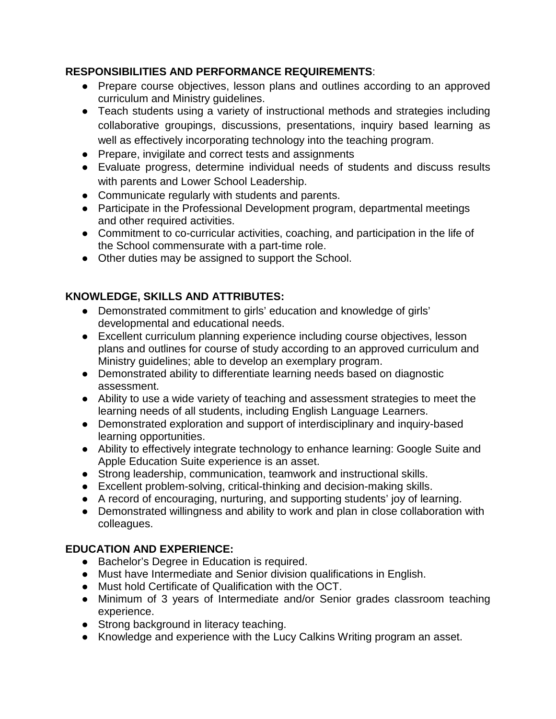## **RESPONSIBILITIES AND PERFORMANCE REQUIREMENTS**:

- Prepare course objectives, lesson plans and outlines according to an approved curriculum and Ministry guidelines.
- Teach students using a variety of instructional methods and strategies including collaborative groupings, discussions, presentations, inquiry based learning as well as effectively incorporating technology into the teaching program.
- Prepare, invigilate and correct tests and assignments
- Evaluate progress, determine individual needs of students and discuss results with parents and Lower School Leadership.
- Communicate regularly with students and parents.
- Participate in the Professional Development program, departmental meetings and other required activities.
- Commitment to co-curricular activities, coaching, and participation in the life of the School commensurate with a part-time role.
- Other duties may be assigned to support the School.

## **KNOWLEDGE, SKILLS AND ATTRIBUTES:**

- Demonstrated commitment to girls' education and knowledge of girls' developmental and educational needs.
- Excellent curriculum planning experience including course objectives, lesson plans and outlines for course of study according to an approved curriculum and Ministry guidelines; able to develop an exemplary program.
- Demonstrated ability to differentiate learning needs based on diagnostic assessment.
- Ability to use a wide variety of teaching and assessment strategies to meet the learning needs of all students, including English Language Learners.
- Demonstrated exploration and support of interdisciplinary and inquiry-based learning opportunities.
- Ability to effectively integrate technology to enhance learning: Google Suite and Apple Education Suite experience is an asset.
- Strong leadership, communication, teamwork and instructional skills.
- Excellent problem-solving, critical-thinking and decision-making skills.
- A record of encouraging, nurturing, and supporting students' joy of learning.
- Demonstrated willingness and ability to work and plan in close collaboration with colleagues.

## **EDUCATION AND EXPERIENCE:**

- Bachelor's Degree in Education is required.
- Must have Intermediate and Senior division qualifications in English.
- Must hold Certificate of Qualification with the OCT.
- Minimum of 3 years of Intermediate and/or Senior grades classroom teaching experience.
- Strong background in literacy teaching.
- Knowledge and experience with the Lucy Calkins Writing program an asset.